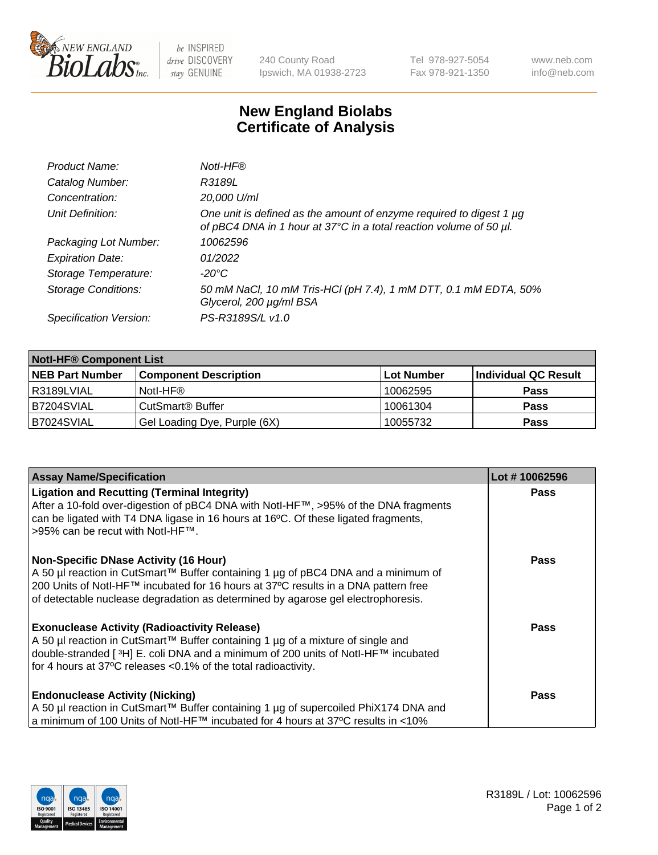

 $be$  INSPIRED drive DISCOVERY stay GENUINE

240 County Road Ipswich, MA 01938-2723 Tel 978-927-5054 Fax 978-921-1350 www.neb.com info@neb.com

## **New England Biolabs Certificate of Analysis**

| Product Name:              | Notl-HF®                                                                                                                                  |
|----------------------------|-------------------------------------------------------------------------------------------------------------------------------------------|
| Catalog Number:            | R3189L                                                                                                                                    |
| Concentration:             | 20,000 U/ml                                                                                                                               |
| Unit Definition:           | One unit is defined as the amount of enzyme required to digest 1 µg<br>of pBC4 DNA in 1 hour at 37°C in a total reaction volume of 50 µl. |
| Packaging Lot Number:      | 10062596                                                                                                                                  |
| <b>Expiration Date:</b>    | 01/2022                                                                                                                                   |
| Storage Temperature:       | -20°C                                                                                                                                     |
| <b>Storage Conditions:</b> | 50 mM NaCl, 10 mM Tris-HCl (pH 7.4), 1 mM DTT, 0.1 mM EDTA, 50%<br>Glycerol, 200 µg/ml BSA                                                |
| Specification Version:     | PS-R3189S/L v1.0                                                                                                                          |

| <b>Notl-HF® Component List</b> |                              |            |                      |  |  |
|--------------------------------|------------------------------|------------|----------------------|--|--|
| <b>NEB Part Number</b>         | <b>Component Description</b> | Lot Number | Individual QC Result |  |  |
| R3189LVIAL                     | Notl-HF®                     | 10062595   | <b>Pass</b>          |  |  |
| B7204SVIAL                     | CutSmart <sup>®</sup> Buffer | 10061304   | <b>Pass</b>          |  |  |
| B7024SVIAL                     | Gel Loading Dye, Purple (6X) | 10055732   | <b>Pass</b>          |  |  |

| <b>Assay Name/Specification</b>                                                                                                                                         | Lot #10062596 |
|-------------------------------------------------------------------------------------------------------------------------------------------------------------------------|---------------|
| <b>Ligation and Recutting (Terminal Integrity)</b><br>After a 10-fold over-digestion of pBC4 DNA with NotI-HF™, >95% of the DNA fragments                               | <b>Pass</b>   |
| can be ligated with T4 DNA ligase in 16 hours at 16°C. Of these ligated fragments,<br>>95% can be recut with Notl-HF™.                                                  |               |
| <b>Non-Specific DNase Activity (16 Hour)</b>                                                                                                                            | <b>Pass</b>   |
| A 50 µl reaction in CutSmart™ Buffer containing 1 µg of pBC4 DNA and a minimum of<br>200 Units of Notl-HF™ incubated for 16 hours at 37°C results in a DNA pattern free |               |
| of detectable nuclease degradation as determined by agarose gel electrophoresis.                                                                                        |               |
| <b>Exonuclease Activity (Radioactivity Release)</b>                                                                                                                     | <b>Pass</b>   |
| A 50 µl reaction in CutSmart™ Buffer containing 1 µg of a mixture of single and<br>double-stranded [3H] E. coli DNA and a minimum of 200 units of Notl-HF™ incubated    |               |
| for 4 hours at 37°C releases < 0.1% of the total radioactivity.                                                                                                         |               |
| <b>Endonuclease Activity (Nicking)</b>                                                                                                                                  | Pass          |
| A 50 µl reaction in CutSmart™ Buffer containing 1 µg of supercoiled PhiX174 DNA and                                                                                     |               |
| a minimum of 100 Units of Notl-HF™ incubated for 4 hours at 37°C results in <10%                                                                                        |               |